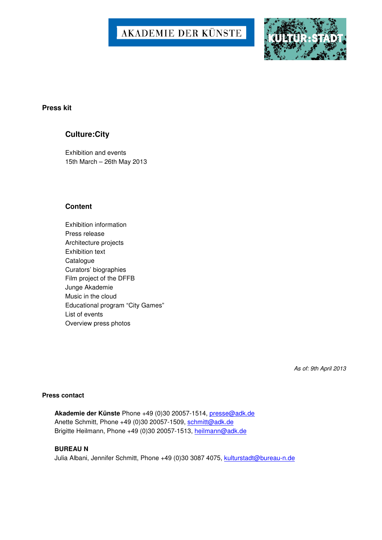# AKADEMIE DER KÜNSTE



### **Press kit**

# **Culture:City**

Exhibition and events 15th March – 26th May 2013

# **Content**

Exhibition information Press release Architecture projects Exhibition text **Catalogue** Curators' biographies Film project of the DFFB Junge Akademie Music in the cloud Educational program "City Games" List of events Overview press photos

As of: 9th April 2013

#### **Press contact**

**Akademie der Künste** Phone +49 (0)30 20057-1514, presse@adk.de Anette Schmitt, Phone +49 (0)30 20057-1509, schmitt@adk.de Brigitte Heilmann, Phone +49 (0)30 20057-1513, heilmann@adk.de

#### **BUREAU N**

Julia Albani, Jennifer Schmitt, Phone +49 (0)30 3087 4075, kulturstadt@bureau-n.de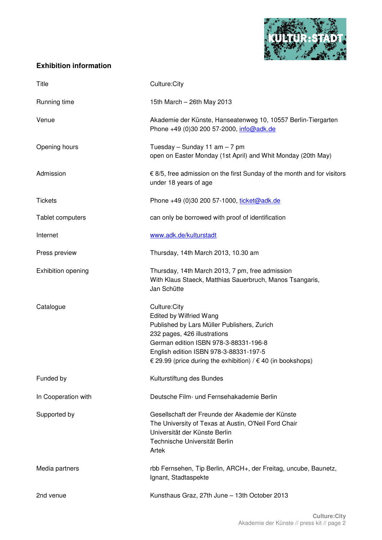

# **Exhibition information**

| Title               | Culture:City                                                                                                                                                                                                                                                               |
|---------------------|----------------------------------------------------------------------------------------------------------------------------------------------------------------------------------------------------------------------------------------------------------------------------|
| Running time        | 15th March - 26th May 2013                                                                                                                                                                                                                                                 |
| Venue               | Akademie der Künste, Hanseatenweg 10, 10557 Berlin-Tiergarten<br>Phone +49 (0)30 200 57-2000, info@adk.de                                                                                                                                                                  |
| Opening hours       | Tuesday $-$ Sunday 11 am $-$ 7 pm<br>open on Easter Monday (1st April) and Whit Monday (20th May)                                                                                                                                                                          |
| Admission           | € 8/5, free admission on the first Sunday of the month and for visitors<br>under 18 years of age                                                                                                                                                                           |
| <b>Tickets</b>      | Phone +49 (0)30 200 57-1000, ticket@adk.de                                                                                                                                                                                                                                 |
| Tablet computers    | can only be borrowed with proof of identification                                                                                                                                                                                                                          |
| Internet            | www.adk.de/kulturstadt                                                                                                                                                                                                                                                     |
| Press preview       | Thursday, 14th March 2013, 10.30 am                                                                                                                                                                                                                                        |
| Exhibition opening  | Thursday, 14th March 2013, 7 pm, free admission<br>With Klaus Staeck, Matthias Sauerbruch, Manos Tsangaris,<br>Jan Schütte                                                                                                                                                 |
| Catalogue           | Culture:City<br>Edited by Wilfried Wang<br>Published by Lars Müller Publishers, Zurich<br>232 pages, 426 illustrations<br>German edition ISBN 978-3-88331-196-8<br>English edition ISBN 978-3-88331-197-5<br>€ 29.99 (price during the exhibition) / $∈$ 40 (in bookshops) |
| Funded by           | Kulturstiftung des Bundes                                                                                                                                                                                                                                                  |
| In Cooperation with | Deutsche Film- und Fernsehakademie Berlin                                                                                                                                                                                                                                  |
| Supported by        | Gesellschaft der Freunde der Akademie der Künste<br>The University of Texas at Austin, O'Neil Ford Chair<br>Universität der Künste Berlin<br>Technische Universität Berlin<br>Artek                                                                                        |
| Media partners      | rbb Fernsehen, Tip Berlin, ARCH+, der Freitag, uncube, Baunetz,<br>Ignant, Stadtaspekte                                                                                                                                                                                    |
| 2nd venue           | Kunsthaus Graz, 27th June - 13th October 2013                                                                                                                                                                                                                              |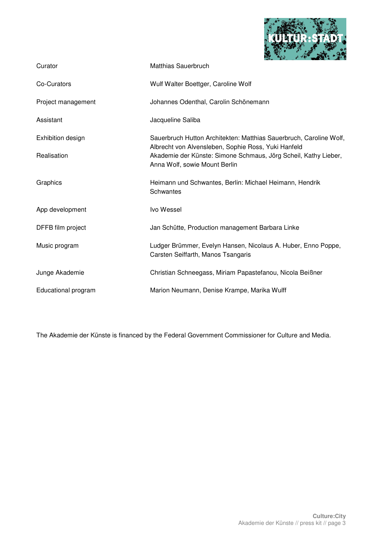

| Curator             | Matthias Sauerbruch                                                                                                       |
|---------------------|---------------------------------------------------------------------------------------------------------------------------|
| Co-Curators         | Wulf Walter Boettger, Caroline Wolf                                                                                       |
| Project management  | Johannes Odenthal, Carolin Schönemann                                                                                     |
| Assistant           | Jacqueline Saliba                                                                                                         |
| Exhibition design   | Sauerbruch Hutton Architekten: Matthias Sauerbruch, Caroline Wolf,<br>Albrecht von Alvensleben, Sophie Ross, Yuki Hanfeld |
| Realisation         | Akademie der Künste: Simone Schmaus, Jörg Scheil, Kathy Lieber,<br>Anna Wolf, sowie Mount Berlin                          |
| Graphics            | Heimann und Schwantes, Berlin: Michael Heimann, Hendrik<br>Schwantes                                                      |
| App development     | Ivo Wessel                                                                                                                |
| DFFB film project   | Jan Schütte, Production management Barbara Linke                                                                          |
| Music program       | Ludger Brümmer, Evelyn Hansen, Nicolaus A. Huber, Enno Poppe,<br>Carsten Seiffarth, Manos Tsangaris                       |
| Junge Akademie      | Christian Schneegass, Miriam Papastefanou, Nicola Beißner                                                                 |
| Educational program | Marion Neumann, Denise Krampe, Marika Wulff                                                                               |

The Akademie der Künste is financed by the Federal Government Commissioner for Culture and Media.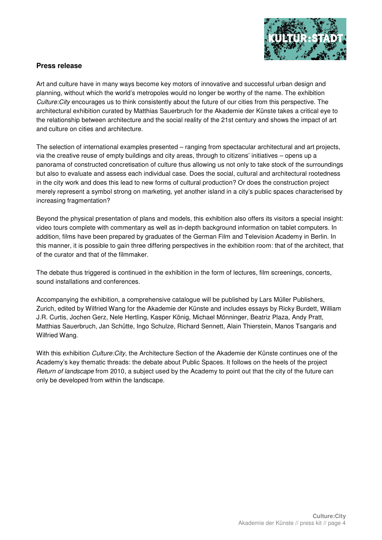

# **Press release**

Art and culture have in many ways become key motors of innovative and successful urban design and planning, without which the world's metropoles would no longer be worthy of the name. The exhibition Culture:City encourages us to think consistently about the future of our cities from this perspective. The architectural exhibition curated by Matthias Sauerbruch for the Akademie der Künste takes a critical eye to the relationship between architecture and the social reality of the 21st century and shows the impact of art and culture on cities and architecture.

The selection of international examples presented – ranging from spectacular architectural and art projects, via the creative reuse of empty buildings and city areas, through to citizens' initiatives – opens up a panorama of constructed concretisation of culture thus allowing us not only to take stock of the surroundings but also to evaluate and assess each individual case. Does the social, cultural and architectural rootedness in the city work and does this lead to new forms of cultural production? Or does the construction project merely represent a symbol strong on marketing, yet another island in a city's public spaces characterised by increasing fragmentation?

Beyond the physical presentation of plans and models, this exhibition also offers its visitors a special insight: video tours complete with commentary as well as in-depth background information on tablet computers. In addition, films have been prepared by graduates of the German Film and Television Academy in Berlin. In this manner, it is possible to gain three differing perspectives in the exhibition room: that of the architect, that of the curator and that of the filmmaker.

The debate thus triggered is continued in the exhibition in the form of lectures, film screenings, concerts, sound installations and conferences.

Accompanying the exhibition, a comprehensive catalogue will be published by Lars Müller Publishers, Zurich, edited by Wilfried Wang for the Akademie der Künste and includes essays by Ricky Burdett, William J.R. Curtis, Jochen Gerz, Nele Hertling, Kasper König, Michael Mönninger, Beatriz Plaza, Andy Pratt, Matthias Sauerbruch, Jan Schütte, Ingo Schulze, Richard Sennett, Alain Thierstein, Manos Tsangaris and Wilfried Wang.

With this exhibition *Culture:City*, the Architecture Section of the Akademie der Künste continues one of the Academy's key thematic threads: the debate about Public Spaces. It follows on the heels of the project Return of landscape from 2010, a subject used by the Academy to point out that the city of the future can only be developed from within the landscape.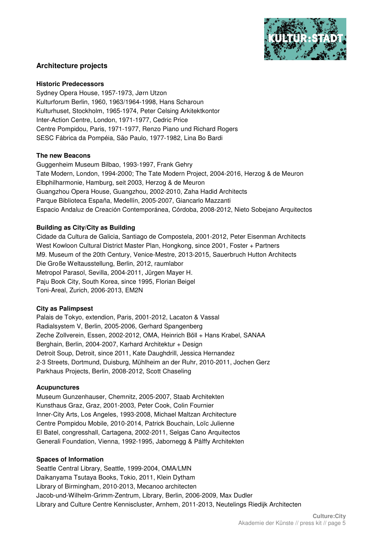

# **Architecture projects**

#### **Historic Predecessors**

Sydney Opera House, 1957-1973, Jørn Utzon Kulturforum Berlin, 1960, 1963/1964-1998, Hans Scharoun Kulturhuset, Stockholm, 1965-1974, Peter Celsing Arkitektkontor Inter-Action Centre, London, 1971-1977, Cedric Price Centre Pompidou, Paris, 1971-1977, Renzo Piano und Richard Rogers SESC Fábrica da Pompéia, São Paulo, 1977-1982, Lina Bo Bardi

### **The new Beacons**

Guggenheim Museum Bilbao, 1993-1997, Frank Gehry Tate Modern, London, 1994-2000; The Tate Modern Project, 2004-2016, Herzog & de Meuron Elbphilharmonie, Hamburg, seit 2003, Herzog & de Meuron Guangzhou Opera House, Guangzhou, 2002-2010, Zaha Hadid Architects Parque Biblioteca España, Medellín, 2005-2007, Giancarlo Mazzanti Espacio Andaluz de Creación Contemporánea, Córdoba, 2008-2012, Nieto Sobejano Arquitectos

# **Building as City/City as Building**

Cidade da Cultura de Galicia, Santiago de Compostela, 2001-2012, Peter Eisenman Architects West Kowloon Cultural District Master Plan, Hongkong, since 2001, Foster + Partners M9. Museum of the 20th Century, Venice-Mestre, 2013-2015, Sauerbruch Hutton Architects Die Große Weltausstellung, Berlin, 2012, raumlabor Metropol Parasol, Sevilla, 2004-2011, Jürgen Mayer H. Paju Book City, South Korea, since 1995, Florian Beigel Toni-Areal, Zurich, 2006-2013, EM2N

# **City as Palimpsest**

Palais de Tokyo, extendion, Paris, 2001-2012, Lacaton & Vassal Radialsystem V, Berlin, 2005-2006, Gerhard Spangenberg Zeche Zollverein, Essen, 2002-2012, OMA, Heinrich Böll + Hans Krabel, SANAA Berghain, Berlin, 2004-2007, Karhard Architektur + Design Detroit Soup, Detroit, since 2011, Kate Daughdrill, Jessica Hernandez 2-3 Streets, Dortmund, Duisburg, Mühlheim an der Ruhr, 2010-2011, Jochen Gerz Parkhaus Projects, Berlin, 2008-2012, Scott Chaseling

#### **Acupunctures**

Museum Gunzenhauser, Chemnitz, 2005-2007, Staab Architekten Kunsthaus Graz, Graz, 2001-2003, Peter Cook, Colin Fournier Inner-City Arts, Los Angeles, 1993-2008, Michael Maltzan Architecture Centre Pompidou Mobile, 2010-2014, Patrick Bouchain, Loïc Julienne El Batel, congresshall, Cartagena, 2002-2011, Selgas Cano Arquitectos Generali Foundation, Vienna, 1992-1995, Jabornegg & Pálffy Architekten

# **Spaces of Information**

Seattle Central Library, Seattle, 1999-2004, OMA/LMN Daikanyama Tsutaya Books, Tokio, 2011, Klein Dytham Library of Birmingham, 2010-2013, Mecanoo architecten Jacob-und-Wilhelm-Grimm-Zentrum, Library, Berlin, 2006-2009, Max Dudler Library and Culture Centre Kenniscluster, Arnhem, 2011-2013, Neutelings Riedijk Architecten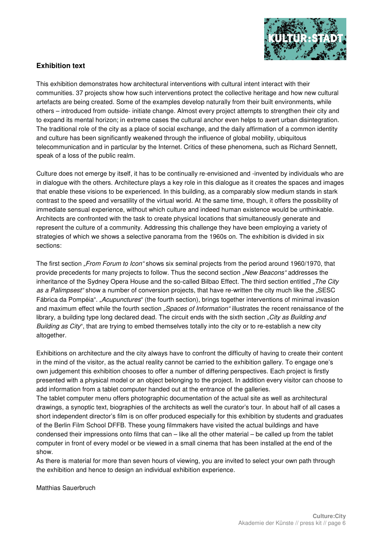

# **Exhibition text**

This exhibition demonstrates how architectural interventions with cultural intent interact with their communities. 37 projects show how such interventions protect the collective heritage and how new cultural artefacts are being created. Some of the examples develop naturally from their built environments, while others – introduced from outside- initiate change. Almost every project attempts to strengthen their city and to expand its mental horizon; in extreme cases the cultural anchor even helps to avert urban disintegration. The traditional role of the city as a place of social exchange, and the daily affirmation of a common identity and culture has been significantly weakened through the influence of global mobility, ubiquitous telecommunication and in particular by the Internet. Critics of these phenomena, such as Richard Sennett, speak of a loss of the public realm.

Culture does not emerge by itself, it has to be continually re-envisioned and -invented by individuals who are in dialogue with the others. Architecture plays a key role in this dialogue as it creates the spaces and images that enable these visions to be experienced. In this building, as a comparably slow medium stands in stark contrast to the speed and versatility of the virtual world. At the same time, though, it offers the possibility of immediate sensual experience, without which culture and indeed human existence would be unthinkable. Architects are confronted with the task to create physical locations that simultaneously generate and represent the culture of a community. Addressing this challenge they have been employing a variety of strategies of which we shows a selective panorama from the 1960s on. The exhibition is divided in six sections:

The first section "From Forum to Icon" shows six seminal projects from the period around 1960/1970, that provide precedents for many projects to follow. Thus the second section "New Beacons" addresses the inheritance of the Sydney Opera House and the so-called Bilbao Effect. The third section entitled "The City as a Palimpsest" show a number of conversion projects, that have re-written the city much like the "SESC Fábrica da Pompéia". "Acupunctures" (the fourth section), brings together interventions of minimal invasion and maximum effect while the fourth section "Spaces of Information" illustrates the recent renaissance of the library, a building type long declared dead. The circuit ends with the sixth section "City as Building and Building as  $City^*$ , that are trying to embed themselves totally into the city or to re-establish a new city altogether.

Exhibitions on architecture and the city always have to confront the difficulty of having to create their content in the mind of the visitor, as the actual reality cannot be carried to the exhibition gallery. To engage one's own judgement this exhibition chooses to offer a number of differing perspectives. Each project is firstly presented with a physical model or an object belonging to the project. In addition every visitor can choose to add information from a tablet computer handed out at the entrance of the galleries.

The tablet computer menu offers photographic documentation of the actual site as well as architectural drawings, a synoptic text, biographies of the architects as well the curator's tour. In about half of all cases a short independent director's film is on offer produced especially for this exhibition by students and graduates of the Berlin Film School DFFB. These young filmmakers have visited the actual buildings and have condensed their impressions onto films that can – like all the other material – be called up from the tablet computer in front of every model or be viewed in a small cinema that has been installed at the end of the show.

As there is material for more than seven hours of viewing, you are invited to select your own path through the exhibition and hence to design an individual exhibition experience.

Matthias Sauerbruch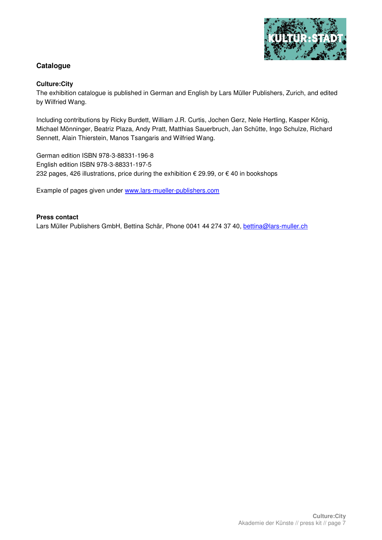

# **Catalogue**

### **Culture:City**

The exhibition catalogue is published in German and English by Lars Müller Publishers, Zurich, and edited by Wilfried Wang.

Including contributions by Ricky Burdett, William J.R. Curtis, Jochen Gerz, Nele Hertling, Kasper König, Michael Mönninger, Beatriz Plaza, Andy Pratt, Matthias Sauerbruch, Jan Schütte, Ingo Schulze, Richard Sennett, Alain Thierstein, Manos Tsangaris and Wilfried Wang.

German edition ISBN 978-3-88331-196-8 English edition ISBN 978-3-88331-197-5 232 pages, 426 illustrations, price during the exhibition € 29.99, or € 40 in bookshops

Example of pages given under www.lars-mueller-publishers.com

#### **Press contact**

Lars Müller Publishers GmbH, Bettina Schär, Phone 0041 44 274 37 40, bettina@lars-muller.ch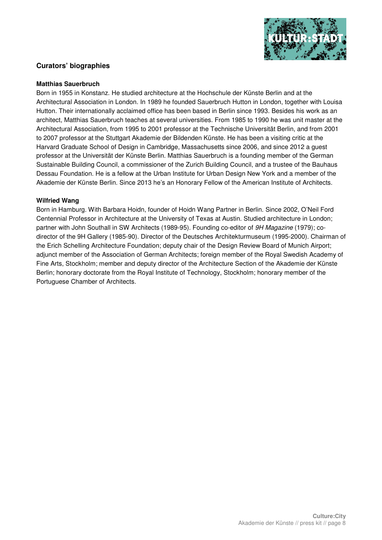

# **Curators' biographies**

#### **Matthias Sauerbruch**

Born in 1955 in Konstanz. He studied architecture at the Hochschule der Künste Berlin and at the Architectural Association in London. In 1989 he founded Sauerbruch Hutton in London, together with Louisa Hutton. Their internationally acclaimed office has been based in Berlin since 1993. Besides his work as an architect, Matthias Sauerbruch teaches at several universities. From 1985 to 1990 he was unit master at the Architectural Association, from 1995 to 2001 professor at the Technische Universität Berlin, and from 2001 to 2007 professor at the Stuttgart Akademie der Bildenden Künste. He has been a visiting critic at the Harvard Graduate School of Design in Cambridge, Massachusetts since 2006, and since 2012 a guest professor at the Universität der Künste Berlin. Matthias Sauerbruch is a founding member of the German Sustainable Building Council, a commissioner of the Zurich Building Council, and a trustee of the Bauhaus Dessau Foundation. He is a fellow at the Urban Institute for Urban Design New York and a member of the Akademie der Künste Berlin. Since 2013 he's an Honorary Fellow of the American Institute of Architects.

#### **Wilfried Wang**

Born in Hamburg. With Barbara Hoidn, founder of Hoidn Wang Partner in Berlin. Since 2002, O'Neil Ford Centennial Professor in Architecture at the University of Texas at Austin. Studied architecture in London; partner with John Southall in SW Architects (1989-95). Founding co-editor of 9H Magazine (1979); codirector of the 9H Gallery (1985-90). Director of the Deutsches Architekturmuseum (1995-2000). Chairman of the Erich Schelling Architecture Foundation; deputy chair of the Design Review Board of Munich Airport; adjunct member of the Association of German Architects; foreign member of the Royal Swedish Academy of Fine Arts, Stockholm; member and deputy director of the Architecture Section of the Akademie der Künste Berlin; honorary doctorate from the Royal Institute of Technology, Stockholm; honorary member of the Portuguese Chamber of Architects.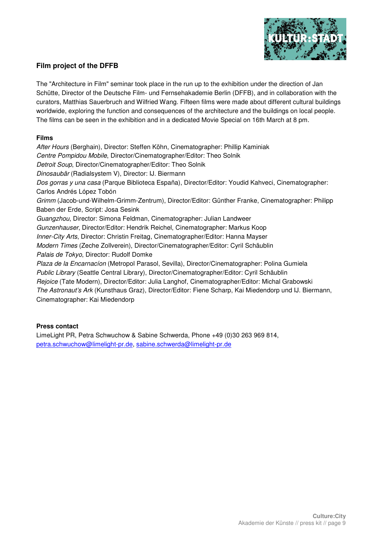

# **Film project of the DFFB**

The "Architecture in Film" seminar took place in the run up to the exhibition under the direction of Jan Schütte, Director of the Deutsche Film- und Fernsehakademie Berlin (DFFB), and in collaboration with the curators, Matthias Sauerbruch and Wilfried Wang. Fifteen films were made about different cultural buildings worldwide, exploring the function and consequences of the architecture and the buildings on local people. The films can be seen in the exhibition and in a dedicated Movie Special on 16th March at 8 pm.

### **Films**

After Hours (Berghain), Director: Steffen Köhn, Cinematographer: Phillip Kaminiak Centre Pompidou Mobile, Director/Cinematographer/Editor: Theo Solnik Detroit Soup, Director/Cinematographer/Editor: Theo Solnik Dinosaubär (Radialsystem V), Director: IJ. Biermann Dos gorras y una casa (Parque Biblioteca España), Director/Editor: Youdid Kahveci, Cinematographer: Carlos Andrés López Tobón Grimm (Jacob-und-Wilhelm-Grimm-Zentrum), Director/Editor: Günther Franke, Cinematographer: Philipp Baben der Erde, Script: Josa Sesink Guangzhou, Director: Simona Feldman, Cinematographer: Julian Landweer Gunzenhauser, Director/Editor: Hendrik Reichel, Cinematographer: Markus Koop Inner-City Arts, Director: Christin Freitag, Cinematographer/Editor: Hanna Mayser Modern Times (Zeche Zollverein), Director/Cinematographer/Editor: Cyril Schäublin Palais de Tokyo, Director: Rudolf Domke Plaza de la Encarnacíon (Metropol Parasol, Sevilla), Director/Cinematographer: Polina Gumiela Public Library (Seattle Central Library), Director/Cinematographer/Editor: Cyril Schäublin Rejoice (Tate Modern), Director/Editor: Julia Langhof, Cinematographer/Editor: Michal Grabowski The Astronaut's Ark (Kunsthaus Graz), Director/Editor: Fiene Scharp, Kai Miedendorp und IJ. Biermann, Cinematographer: Kai Miedendorp

# **Press contact**

LimeLight PR, Petra Schwuchow & Sabine Schwerda, Phone +49 (0)30 263 969 814, petra.schwuchow@limelight-pr.de, sabine.schwerda@limelight-pr.de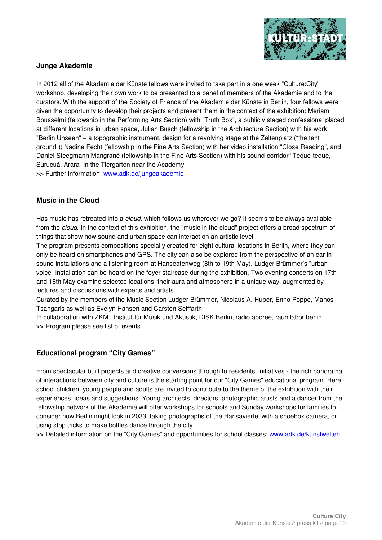

# **Junge Akademie**

In 2012 all of the Akademie der Künste fellows were invited to take part in a one week "Culture:City" workshop, developing their own work to be presented to a panel of members of the Akademie and to the curators. With the support of the Society of Friends of the Akademie der Künste in Berlin, four fellows were given the opportunity to develop their projects and present them in the context of the exhibition: Meriam Bousselmi (fellowship in the Performing Arts Section) with "Truth Box", a publicly staged confessional placed at different locations in urban space, Julian Busch (fellowship in the Architecture Section) with his work "Berlin Unseen" – a topographic instrument, design for a revolving stage at the Zeltenplatz ("the tent ground"); Nadine Fecht (fellowship in the Fine Arts Section) with her video installation "Close Reading", and Daniel Steegmann Mangrané (fellowship in the Fine Arts Section) with his sound-corridor "Teque-teque, Surucuá, Arara" in the Tiergarten near the Academy.

>> Further information: www.adk.de/jungeakademie

# **Music in the Cloud**

Has music has retreated into a *cloud*, which follows us wherever we go? It seems to be always available from the cloud. In the context of this exhibition, the "music in the cloud" project offers a broad spectrum of things that show how sound and urban space can interact on an artistic level.

The program presents compositions specially created for eight cultural locations in Berlin, where they can only be heard on smartphones and GPS. The city can also be explored from the perspective of an ear in sound installations and a listening room at Hanseatenweg (8th to 19th May). Ludger Brümmer's "urban voice" installation can be heard on the foyer staircase during the exhibition. Two evening concerts on 17th and 18th May examine selected locations, their aura and atmosphere in a unique way, augmented by lectures and discussions with experts and artists.

Curated by the members of the Music Section Ludger Brümmer, Nicolaus A. Huber, Enno Poppe, Manos Tsangaris as well as Evelyn Hansen and Carsten Seiffarth

In collaboration with ZKM | Institut für Musik und Akustik, DISK Berlin, radio aporee, raumlabor berlin >> Program please see list of events

# **Educational program "City Games"**

From spectacular built projects and creative conversions through to residents' initiatives - the rich panorama of interactions between city and culture is the starting point for our "City Games" educational program. Here school children, young people and adults are invited to contribute to the theme of the exhibition with their experiences, ideas and suggestions. Young architects, directors, photographic artists and a dancer from the fellowship network of the Akademie will offer workshops for schools and Sunday workshops for families to consider how Berlin might look in 2033, taking photographs of the Hansaviertel with a shoebox camera, or using stop tricks to make bottles dance through the city.

>> Detailed information on the "City Games" and opportunities for school classes: www.adk.de/kunstwelten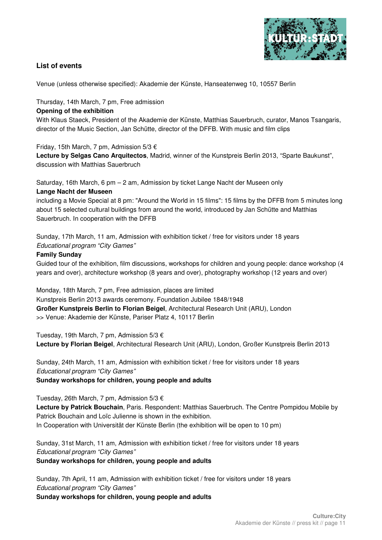

# **List of events**

Venue (unless otherwise specified): Akademie der Künste, Hanseatenweg 10, 10557 Berlin

Thursday, 14th March, 7 pm, Free admission

# **Opening of the exhibition**

With Klaus Staeck, President of the Akademie der Künste, Matthias Sauerbruch, curator, Manos Tsangaris, director of the Music Section, Jan Schütte, director of the DFFB. With music and film clips

Friday, 15th March, 7 pm, Admission 5/3 €

**Lecture by Selgas Cano Arquitectos**, Madrid, winner of the Kunstpreis Berlin 2013, "Sparte Baukunst", discussion with Matthias Sauerbruch

Saturday, 16th March, 6 pm – 2 am, Admission by ticket Lange Nacht der Museen only

# **Lange Nacht der Museen**

including a Movie Special at 8 pm: "Around the World in 15 films": 15 films by the DFFB from 5 minutes long about 15 selected cultural buildings from around the world, introduced by Jan Schütte and Matthias Sauerbruch. In cooperation with the DFFB

Sunday, 17th March, 11 am, Admission with exhibition ticket / free for visitors under 18 years Educational program "City Games"

# **Family Sunday**

Guided tour of the exhibition, film discussions, workshops for children and young people: dance workshop (4 years and over), architecture workshop (8 years and over), photography workshop (12 years and over)

Monday, 18th March, 7 pm, Free admission, places are limited Kunstpreis Berlin 2013 awards ceremony. Foundation Jubilee 1848/1948 **Großer Kunstpreis Berlin to Florian Beigel**, Architectural Research Unit (ARU), London >> Venue: Akademie der Künste, Pariser Platz 4, 10117 Berlin

Tuesday, 19th March, 7 pm, Admission 5/3 € **Lecture by Florian Beigel**, Architectural Research Unit (ARU), London, Großer Kunstpreis Berlin 2013

Sunday, 24th March, 11 am, Admission with exhibition ticket / free for visitors under 18 years Educational program "City Games" **Sunday workshops for children, young people and adults** 

Tuesday, 26th March, 7 pm, Admission 5/3 €

**Lecture by Patrick Bouchain**, Paris. Respondent: Matthias Sauerbruch. The Centre Pompidou Mobile by Patrick Bouchain and Loïc Julienne is shown in the exhibition.

In Cooperation with Universität der Künste Berlin (the exhibition will be open to 10 pm)

Sunday, 31st March, 11 am, Admission with exhibition ticket / free for visitors under 18 years Educational program "City Games"

**Sunday workshops for children, young people and adults** 

Sunday, 7th April, 11 am, Admission with exhibition ticket / free for visitors under 18 years Educational program "City Games" **Sunday workshops for children, young people and adults**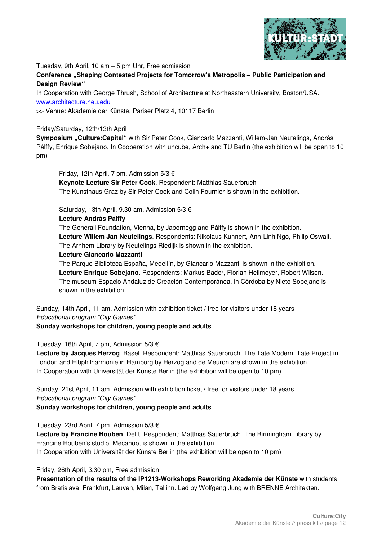

Tuesday, 9th April, 10 am – 5 pm Uhr, Free admission

**Conference "Shaping Contested Projects for Tomorrow's Metropolis – Public Participation and Design Review"**

In Cooperation with George Thrush, School of Architecture at Northeastern University, Boston/USA. www.architecture.neu.edu

>> Venue: Akademie der Künste, Pariser Platz 4, 10117 Berlin

#### Friday/Saturday, 12th/13th April

**Symposium "Culture:Capital"** with Sir Peter Cook, Giancarlo Mazzanti, Willem-Jan Neutelings, András Pálffy, Enrique Sobejano. In Cooperation with uncube, Arch+ and TU Berlin (the exhibition will be open to 10 pm)

Friday, 12th April, 7 pm, Admission 5/3 €

**Keynote Lecture Sir Peter Cook**. Respondent: Matthias Sauerbruch The Kunsthaus Graz by Sir Peter Cook and Colin Fournier is shown in the exhibition.

Saturday, 13th April, 9.30 am, Admission 5/3 €

#### **Lecture András Pálffy**

The Generali Foundation, Vienna, by Jabornegg and Pálffy is shown in the exhibition. **Lecture Willem Jan Neutelings**. Respondents: Nikolaus Kuhnert, Anh-Linh Ngo, Philip Oswalt. The Arnhem Library by Neutelings Riedijk is shown in the exhibition.

#### **Lecture Giancarlo Mazzanti**

The Parque Biblioteca España, Medellín, by Giancarlo Mazzanti is shown in the exhibition. **Lecture Enrique Sobejano**. Respondents: Markus Bader, Florian Heilmeyer, Robert Wilson. The museum Espacio Andaluz de Creación Contemporánea, in Córdoba by Nieto Sobejano is shown in the exhibition.

Sunday, 14th April, 11 am, Admission with exhibition ticket / free for visitors under 18 years Educational program "City Games" **Sunday workshops for children, young people and adults** 

Tuesday, 16th April, 7 pm, Admission 5/3 € **Lecture by Jacques Herzog**, Basel. Respondent: Matthias Sauerbruch. The Tate Modern, Tate Project in London and Elbphilharmonie in Hamburg by Herzog and de Meuron are shown in the exhibition. In Cooperation with Universität der Künste Berlin (the exhibition will be open to 10 pm)

Sunday, 21st April, 11 am, Admission with exhibition ticket / free for visitors under 18 years Educational program "City Games" **Sunday workshops for children, young people and adults** 

Tuesday, 23rd April, 7 pm, Admission 5/3 €

**Lecture by Francine Houben**, Delft. Respondent: Matthias Sauerbruch. The Birmingham Library by Francine Houben's studio, Mecanoo, is shown in the exhibition. In Cooperation with Universität der Künste Berlin (the exhibition will be open to 10 pm)

# Friday, 26th April, 3.30 pm, Free admission

**Presentation of the results of the IP1213-Workshops Reworking Akademie der Künste** with students from Bratislava, Frankfurt, Leuven, Milan, Tallinn. Led by Wolfgang Jung with BRENNE Architekten.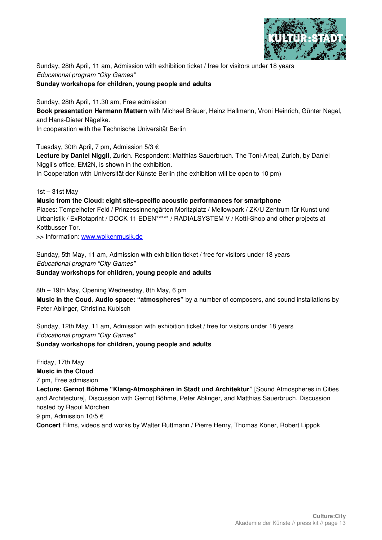

Sunday, 28th April, 11 am, Admission with exhibition ticket / free for visitors under 18 years Educational program "City Games"

### **Sunday workshops for children, young people and adults**

Sunday, 28th April, 11.30 am, Free admission **Book presentation Hermann Mattern** with Michael Bräuer, Heinz Hallmann, Vroni Heinrich, Günter Nagel, and Hans-Dieter Nägelke. In cooperation with the Technische Universität Berlin

Tuesday, 30th April, 7 pm, Admission 5/3 €

**Lecture by Daniel Niggli**, Zurich. Respondent: Matthias Sauerbruch. The Toni-Areal, Zurich, by Daniel Niggli's office, EM2N, is shown in the exhibition.

In Cooperation with Universität der Künste Berlin (the exhibition will be open to 10 pm)

1st – 31st May

### **Music from the Cloud: eight site-specific acoustic performances for smartphone**

Places: Tempelhofer Feld / Prinzessinnengärten Moritzplatz / Mellowpark / ZK/U Zentrum für Kunst und Urbanistik / ExRotaprint / DOCK 11 EDEN\*\*\*\*\* / RADIALSYSTEM V / Kotti-Shop and other projects at Kottbusser Tor.

>> Information: www.wolkenmusik.de

Sunday, 5th May, 11 am, Admission with exhibition ticket / free for visitors under 18 years Educational program "City Games" **Sunday workshops for children, young people and adults** 

8th – 19th May, Opening Wednesday, 8th May, 6 pm **Music in the Coud. Audio space: "atmospheres"** by a number of composers, and sound installations by Peter Ablinger, Christina Kubisch

Sunday, 12th May, 11 am, Admission with exhibition ticket / free for visitors under 18 years Educational program "City Games" **Sunday workshops for children, young people and adults** 

Friday, 17th May **Music in the Cloud** 7 pm, Free admission **Lecture: Gernot Böhme "Klang-Atmosphären in Stadt und Architektur"** [Sound Atmospheres in Cities and Architecture], Discussion with Gernot Böhme, Peter Ablinger, and Matthias Sauerbruch. Discussion hosted by Raoul Mörchen 9 pm, Admission 10/5 € **Concert** Films, videos and works by Walter Ruttmann / Pierre Henry, Thomas Köner, Robert Lippok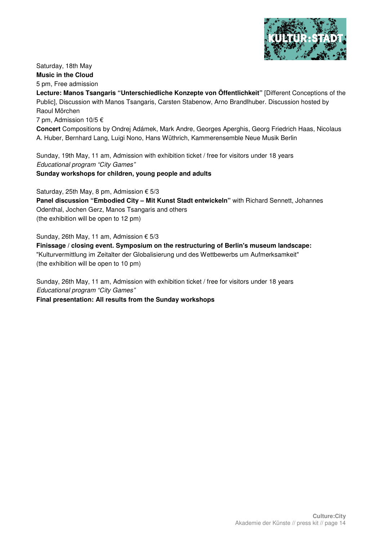

Saturday, 18th May **Music in the Cloud**  5 pm, Free admission

**Lecture: Manos Tsangaris "Unterschiedliche Konzepte von Öffentlichkeit"** [Different Conceptions of the Public], Discussion with Manos Tsangaris, Carsten Stabenow, Arno Brandlhuber. Discussion hosted by Raoul Mörchen

7 pm, Admission 10/5  $\epsilon$ 

**Concert** Compositions by Ondrej Adámek, Mark Andre, Georges Aperghis, Georg Friedrich Haas, Nicolaus A. Huber, Bernhard Lang, Luigi Nono, Hans Wüthrich, Kammerensemble Neue Musik Berlin

Sunday, 19th May, 11 am, Admission with exhibition ticket / free for visitors under 18 years Educational program "City Games"

**Sunday workshops for children, young people and adults** 

Saturday, 25th May, 8 pm, Admission  $\epsilon$  5/3 **Panel discussion "Embodied City – Mit Kunst Stadt entwickeln"** with Richard Sennett, Johannes Odenthal, Jochen Gerz, Manos Tsangaris and others (the exhibition will be open to 12 pm)

Sunday, 26th May, 11 am, Admission € 5/3

**Finissage / closing event. Symposium on the restructuring of Berlin's museum landscape:**  "Kulturvermittlung im Zeitalter der Globalisierung und des Wettbewerbs um Aufmerksamkeit" (the exhibition will be open to 10 pm)

Sunday, 26th May, 11 am, Admission with exhibition ticket / free for visitors under 18 years Educational program "City Games"

**Final presentation: All results from the Sunday workshops**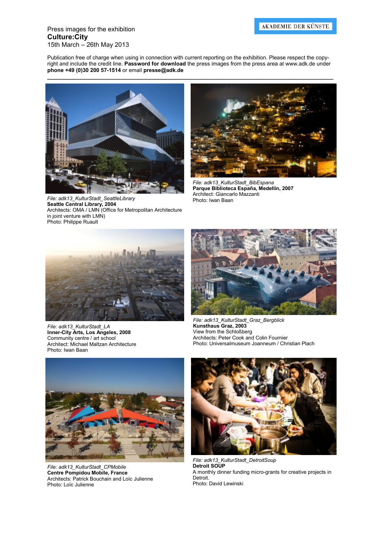#### Press images for the exhibition **Culture:City**  15th March – 26th May 2013

Publication free of charge when using in connection with current reporting on the exhibition. Please respect the copyright and include the credit line. **Password for download** the press images from the press area at www.adk.de under **phone +49 (0)30 200 57-1514** or email **presse@adk.de** 

**\_\_\_\_\_\_\_\_\_\_\_\_\_\_\_\_\_\_\_\_\_\_\_\_\_\_\_\_\_\_\_\_\_\_\_\_\_\_\_\_\_\_\_\_\_\_\_\_\_\_\_\_\_\_\_\_\_\_\_\_\_\_\_\_\_\_\_\_\_\_\_\_\_\_\_\_\_\_\_\_\_\_\_\_\_\_\_\_\_** 



File: adk13\_KulturStadt\_SeattleLibrary **Seattle Central Library, 2004**  Architects: OMA / LMN (Office for Metropolitan Architecture in joint venture with LMN) Photo: Philippe Ruault



*File: adk13\_KulturStadt\_BibEspana*  **Parque Biblioteca España, Medellín, 2007**  Architect: Giancarlo Mazzanti<br>Photo: Iwan Baan



*File: adk13\_KulturStadt\_LA*  **Inner-City Arts, Los Angeles, 2008**  Community centre / art school Architect: Michael Maltzan Architecture Photo: Iwan Baan



*File: adk13\_KulturStadt\_Graz\_Bergblick*  **Kunsthaus Graz, 2003**  View from the Schloßberg Architects: Peter Cook and Colin Fournier Photo: Universalmuseum Joanneum / Christian Plach



*File: adk13\_KulturStadt\_CPMobile*  **Centre Pompidou Mobile, France**  Architects: Patrick Bouchain and Loïc Julienne Photo: Loïc Julienne



*File: adk13\_KulturStadt\_DetroitSoup*  **Detroit SOUP**  A monthly dinner funding micro-grants for creative projects in Detroit. Photo: David Lewinski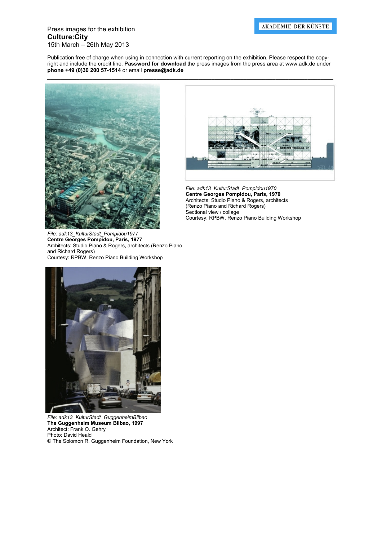#### Press images for the exhibition **Culture:City**  15th March – 26th May 2013

Publication free of charge when using in connection with current reporting on the exhibition. Please respect the copyright and include the credit line. **Password for download** the press images from the press area at www.adk.de under **phone +49 (0)30 200 57-1514** or email **presse@adk.de** 



*File: adk13\_KulturStadt\_Pompidou1977*  **Centre Georges Pompidou, Paris, 1977**  Architects: Studio Piano & Rogers, architects (Renzo Piano and Richard Rogers) Courtesy: RPBW, Renzo Piano Building Workshop



*File: adk13\_KulturStadt\_Pompidou1970*  **Centre Georges Pompidou, Paris, 1970**  Architects: Studio Piano & Rogers, architects (Renzo Piano and Richard Rogers) Sectional view / collage Courtesy: RPBW, Renzo Piano Building Workshop



*File: adk13\_KulturStadt\_GuggenheimBilbao*  **The Guggenheim Museum Bilbao, 1997**  Architect: Frank O. Gehry Photo: David Heald © The Solomon R. Guggenheim Foundation, New York